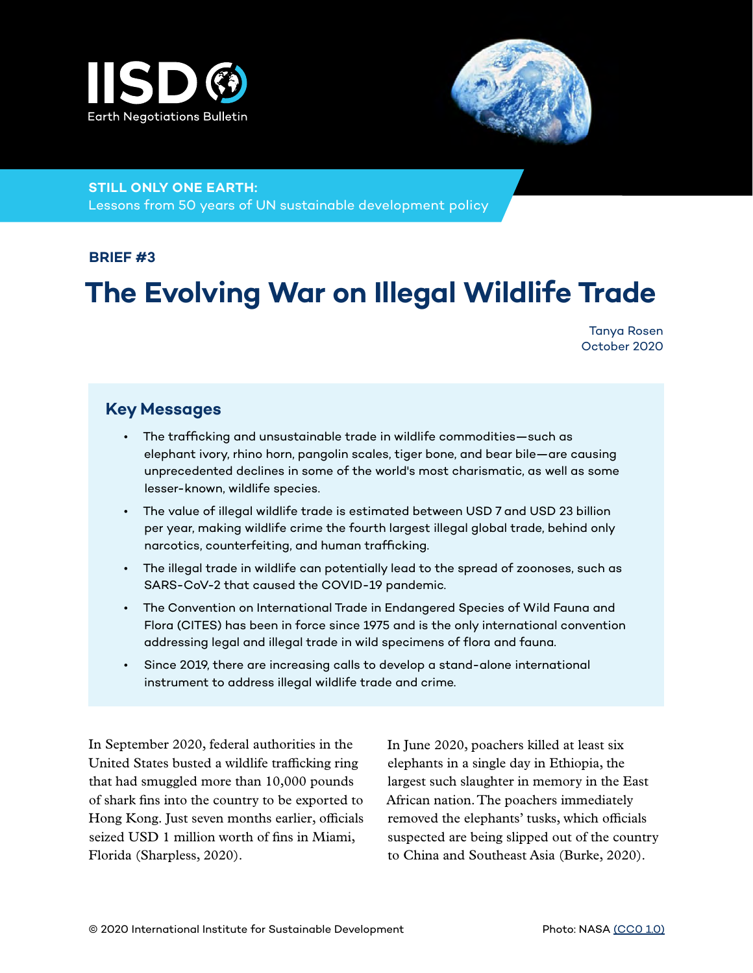



#### **STILL ONLY ONE EARTH:**

Lessons from 50 years of UN sustainable development policy

#### **BRIEF #3**

# **The Evolving War on Illegal Wildlife Trade**

Tanya Rosen October 2020

#### **Key Messages**

- The trafficking and unsustainable trade in wildlife commodities—such as elephant ivory, rhino horn, pangolin scales, tiger bone, and bear bile—are causing unprecedented declines in some of the world's most charismatic, as well as some lesser-known, wildlife species.
- The value of illegal wildlife trade is estimated between USD 7 and USD 23 billion per year, making wildlife crime the fourth largest illegal global trade, behind only narcotics, counterfeiting, and human trafficking.
- The illegal trade in wildlife can potentially lead to the spread of zoonoses, such as SARS-CoV-2 that caused the COVID-19 pandemic.
- The Convention on International Trade in Endangered Species of Wild Fauna and Flora (CITES) has been in force since 1975 and is the only international convention addressing legal and illegal trade in wild specimens of flora and fauna.
- Since 2019, there are increasing calls to develop a stand-alone international instrument to address illegal wildlife trade and crime.

In September 2020, federal authorities in the United States busted a wildlife trafficking ring that had smuggled more than 10,000 pounds of shark fins into the country to be exported to Hong Kong. Just seven months earlier, officials seized USD 1 million worth of fins in Miami, Florida (Sharpless, 2020).

In June 2020, poachers killed at least six elephants in a single day in Ethiopia, the largest such slaughter in memory in the East African nation. The poachers immediately removed the elephants' tusks, which officials suspected are being slipped out of the country to China and Southeast Asia (Burke, 2020).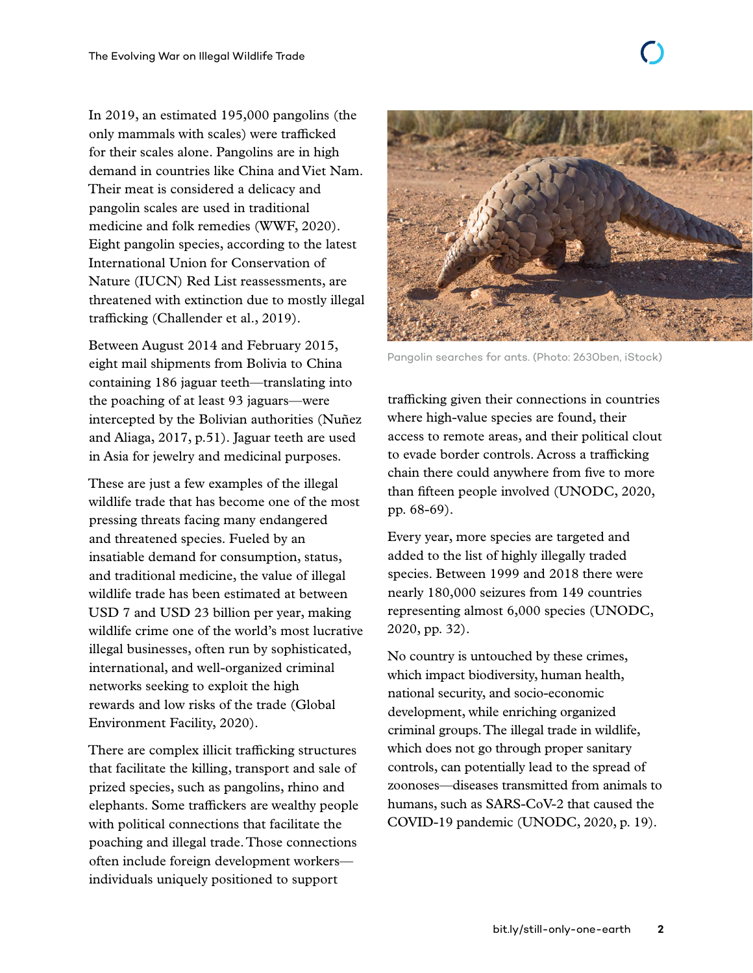only mammals with scales) were trafficked for their scales alone. Pangolins are in high demand in countries like China and Viet Nam. Their meat is considered a delicacy and pangolin scales are used in traditional medicine and folk remedies (WWF, 2020). Eight pangolin species, according to the latest International Union for Conservation of Nature (IUCN) Red List reassessments, are threatened with extinction due to mostly illegal trafficking (Challender et al., 2019).

Between August 2014 and February 2015, eight mail shipments from Bolivia to China containing 186 jaguar teeth—translating into the poaching of at least 93 jaguars—were intercepted by the Bolivian authorities (Nuñez and Aliaga, 2017, p.51). Jaguar teeth are used in Asia for jewelry and medicinal purposes.

These are just a few examples of the illegal wildlife trade that has become one of the most pressing threats facing many endangered and threatened species. Fueled by an insatiable demand for consumption, status, and traditional medicine, the value of illegal wildlife trade has been estimated at between USD 7 and USD 23 billion per year, making wildlife crime one of the world's most lucrative illegal businesses, often run by sophisticated, international, and well-organized criminal networks seeking to exploit the high rewards and low risks of the trade (Global Environment Facility, 2020).

There are complex illicit trafficking structures that facilitate the killing, transport and sale of prized species, such as pangolins, rhino and elephants. Some traffickers are wealthy people with political connections that facilitate the poaching and illegal trade. Those connections often include foreign development workers individuals uniquely positioned to support



Pangolin searches for ants. (Photo: 2630ben, iStock)

trafficking given their connections in countries where high-value species are found, their access to remote areas, and their political clout to evade border controls. Across a trafficking chain there could anywhere from five to more than fifteen people involved (UNODC, 2020, pp. 68-69).

Every year, more species are targeted and added to the list of highly illegally traded species. Between 1999 and 2018 there were nearly 180,000 seizures from 149 countries representing almost 6,000 species (UNODC, 2020, pp. 32).

No country is untouched by these crimes, which impact biodiversity, human health, national security, and socio-economic development, while enriching organized criminal groups. The illegal trade in wildlife, which does not go through proper sanitary controls, can potentially lead to the spread of zoonoses—diseases transmitted from animals to humans, such as SARS-CoV-2 that caused the COVID-19 pandemic (UNODC, 2020, p. 19).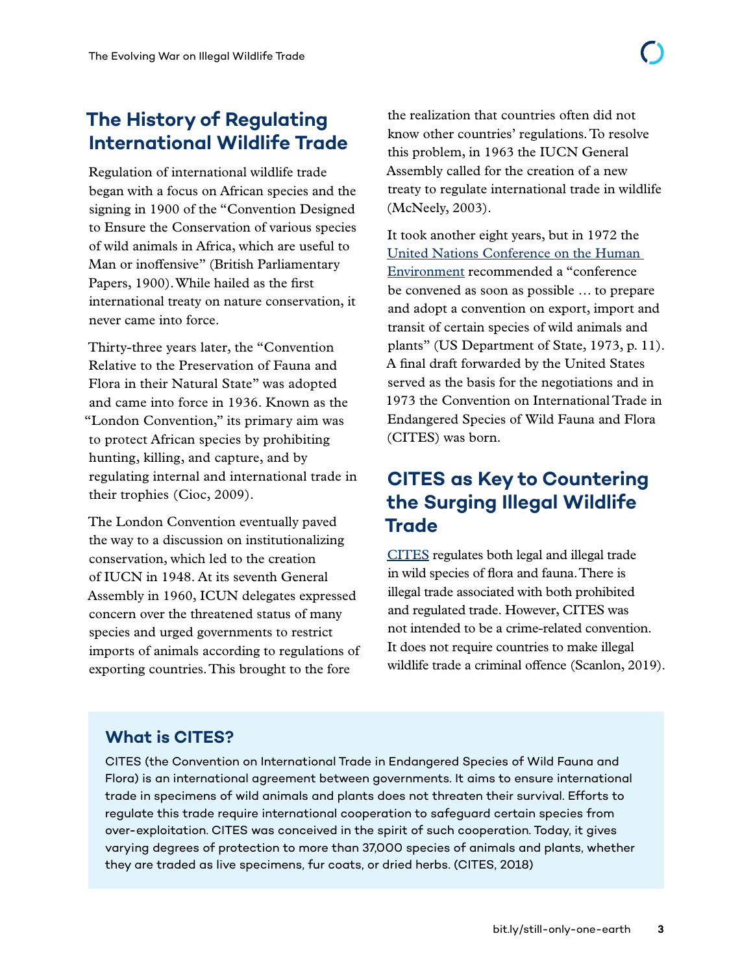Regulation of international wildlife trade began with a focus on African species and the signing in 1900 of the "Convention Designed to Ensure the Conservation of various species of wild animals in Africa, which are useful to Man or inoffensive" (British Parliamentary Papers, 1900). While hailed as the first international treaty on nature conservation, it never came into force.

Thirty-three years later, the "Convention Relative to the Preservation of Fauna and Flora in their Natural State" was adopted and came into force in 1936. Known as the "London Convention," its primary aim was to protect African species by prohibiting hunting, killing, and capture, and by regulating internal and international trade in their trophies (Cioc, 2009).

The London Convention eventually paved the way to a discussion on institutionalizing conservation, which led to the creation of IUCN in 1948. At its seventh General Assembly in 1960, ICUN delegates expressed concern over the threatened status of many species and urged governments to restrict imports of animals according to regulations of exporting countries. This brought to the fore

the realization that countries often did not know other countries' regulations. To resolve this problem, in 1963 the IUCN General Assembly called for the creation of a new treaty to regulate international trade in wildlife (McNeely, 2003).

It took another eight years, but in 1972 the [United Nations Conference on the Human](https://www.iisd.org/articles/stockholm-and-birth-environmental-diplomacy)  [Environment](https://www.iisd.org/articles/stockholm-and-birth-environmental-diplomacy) recommended a "conference be convened as soon as possible … to prepare and adopt a convention on export, import and transit of certain species of wild animals and plants" (US Department of State, 1973, p. 11). A final draft forwarded by the United States served as the basis for the negotiations and in 1973 the Convention on International Trade in Endangered Species of Wild Fauna and Flora (CITES) was born.

# **CITES as Key to Countering the Surging Illegal Wildlife Trade**

[CITES](https://cites.org/) regulates both legal and illegal trade in wild species of flora and fauna. There is illegal trade associated with both prohibited and regulated trade. However, CITES was not intended to be a crime-related convention. It does not require countries to make illegal wildlife trade a criminal offence (Scanlon, 2019).

### **What is CITES?**

CITES (the Convention on International Trade in Endangered Species of Wild Fauna and Flora) is an international agreement between governments. It aims to ensure international trade in specimens of wild animals and plants does not threaten their survival. Efforts to regulate this trade require international cooperation to safeguard certain species from over-exploitation. CITES was conceived in the spirit of such cooperation. Today, it gives varying degrees of protection to more than 37,000 species of animals and plants, whether they are traded as live specimens, fur coats, or dried herbs. (CITES, 2018)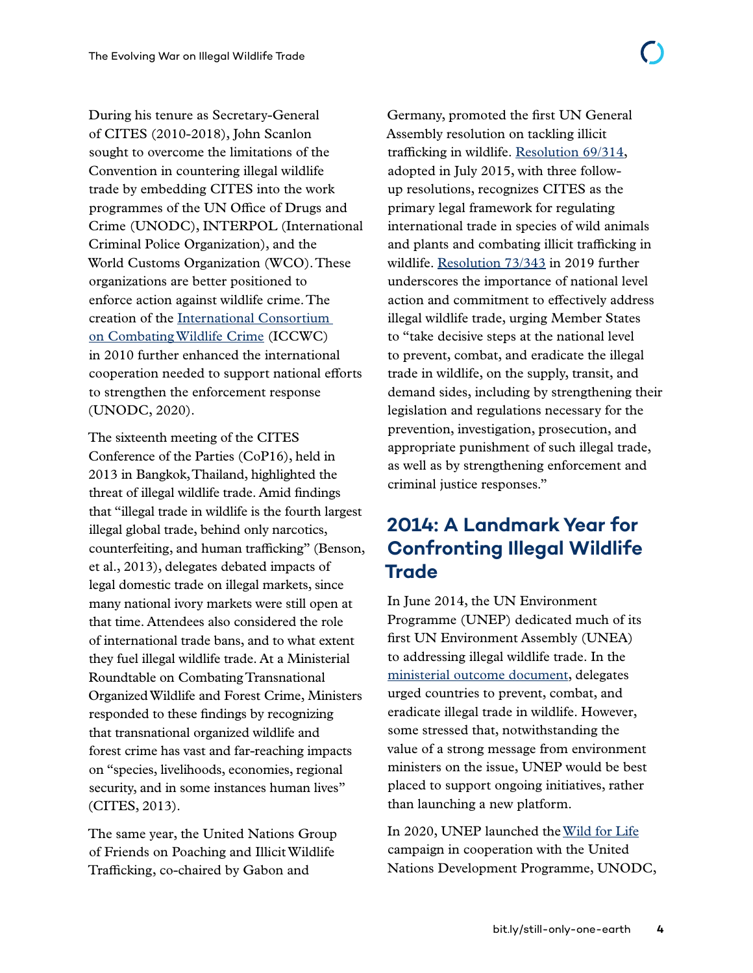During his tenure as Secretary-General of CITES (2010-2018), John Scanlon sought to overcome the limitations of the Convention in countering illegal wildlife trade by embedding CITES into the work programmes of the UN Office of Drugs and Crime (UNODC), INTERPOL (International Criminal Police Organization), and the World Customs Organization (WCO). These organizations are better positioned to enforce action against wildlife crime. The creation of the [International Consortium](https://www.cites.org/eng/prog/iccwc.php)  [on Combating Wildlife Crime](https://www.cites.org/eng/prog/iccwc.php) (ICCWC) in 2010 further enhanced the international cooperation needed to support national efforts to strengthen the enforcement response (UNODC, 2020).

The sixteenth meeting of the CITES Conference of the Parties (CoP16), held in 2013 in Bangkok, Thailand, highlighted the threat of illegal wildlife trade. Amid findings that "illegal trade in wildlife is the fourth largest illegal global trade, behind only narcotics, counterfeiting, and human trafficking" (Benson, et al., 2013), delegates debated impacts of legal domestic trade on illegal markets, since many national ivory markets were still open at that time. Attendees also considered the role of international trade bans, and to what extent they fuel illegal wildlife trade. At a Ministerial Roundtable on Combating Transnational Organized Wildlife and Forest Crime, Ministers responded to these findings by recognizing that transnational organized wildlife and forest crime has vast and far-reaching impacts on "species, livelihoods, economies, regional security, and in some instances human lives" (CITES, 2013).

The same year, the United Nations Group of Friends on Poaching and Illicit Wildlife Trafficking, co-chaired by Gabon and

Germany, promoted the first UN General Assembly resolution on tackling illicit trafficking in wildlife. [Resolution 69/314](https://undocs.org/en/A/RES/69/314), adopted in July 2015, with three followup resolutions, recognizes CITES as the primary legal framework for regulating international trade in species of wild animals and plants and combating illicit trafficking in wildlife. [Resolution 73/343](https://undocs.org/en/A/RES/73/343) in 2019 further underscores the importance of national level action and commitment to effectively address illegal wildlife trade, urging Member States to "take decisive steps at the national level to prevent, combat, and eradicate the illegal trade in wildlife, on the supply, transit, and demand sides, including by strengthening their legislation and regulations necessary for the prevention, investigation, prosecution, and appropriate punishment of such illegal trade, as well as by strengthening enforcement and criminal justice responses."

## **2014: A Landmark Year for Confronting Illegal Wildlife Trade**

In June 2014, the UN Environment Programme (UNEP) dedicated much of its first UN Environment Assembly (UNEA) to addressing illegal wildlife trade. In the [ministerial outcome document](https://www.informea.org/en/decision/ministerial-outcome-document-first-session-united-nations-environment-assembly-united), delegates urged countries to prevent, combat, and eradicate illegal trade in wildlife. However, some stressed that, notwithstanding the value of a strong message from environment ministers on the issue, UNEP would be best placed to support ongoing initiatives, rather than launching a new platform.

In 2020, UNEP launched the [Wild for Life](https://wildfor.life/) campaign in cooperation with the United Nations Development Programme, UNODC,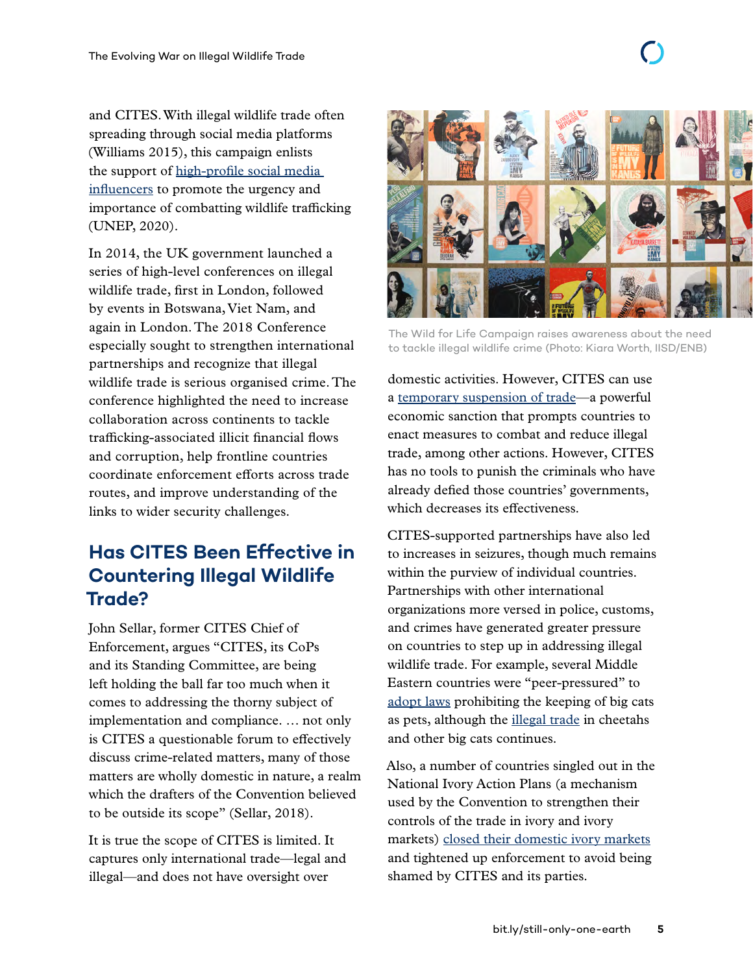and CITES. With illegal wildlife trade often spreading through social media platforms (Williams 2015), this campaign enlists the support of [high-profile social media](https://wildfor.life/champions)  [influencers](https://wildfor.life/champions) to promote the urgency and importance of combatting wildlife trafficking (UNEP, 2020).

In 2014, the UK government launched a series of high-level conferences on illegal wildlife trade, first in London, followed by events in Botswana, Viet Nam, and again in London. The 2018 Conference especially sought to strengthen international partnerships and recognize that illegal wildlife trade is serious organised crime. The conference highlighted the need to increase collaboration across continents to tackle trafficking-associated illicit financial flows and corruption, help frontline countries coordinate enforcement efforts across trade routes, and improve understanding of the links to wider security challenges.

# **Has CITES Been Effective in Countering Illegal Wildlife Trade?**

John Sellar, former CITES Chief of Enforcement, argues "CITES, its CoPs and its Standing Committee, are being left holding the ball far too much when it comes to addressing the thorny subject of implementation and compliance. … not only is CITES a questionable forum to effectively discuss crime-related matters, many of those matters are wholly domestic in nature, a realm which the drafters of the Convention believed to be outside its scope" (Sellar, 2018).

It is true the scope of CITES is limited. It captures only international trade—legal and illegal—and does not have oversight over



The Wild for Life Campaign raises awareness about the need to tackle illegal wildlife crime (Photo: Kiara Worth, IISD/ENB)

domestic activities. However, CITES can use a [temporary suspension of trade—](https://www.cites.org/eng/resources/ref/suspend.php)a powerful economic sanction that prompts countries to enact measures to combat and reduce illegal trade, among other actions. However, CITES has no tools to punish the criminals who have already defied those countries' governments, which decreases its effectiveness.

CITES-supported partnerships have also led to increases in seizures, though much remains within the purview of individual countries. Partnerships with other international organizations more versed in police, customs, and crimes have generated greater pressure on countries to step up in addressing illegal wildlife trade. For example, several Middle Eastern countries were "peer-pressured" to [adopt laws](https://www.bbc.com/news/world-middle-east-38509203) prohibiting the keeping of big cats as pets, although the [illegal trade](https://observers.france24.com/en/20190301-saudi-arabia-gulf-countries-owning-cheetah-fad-instagram) in cheetahs and other big cats continues.

Also, a number of countries singled out in the National Ivory Action Plans (a mechanism used by the Convention to strengthen their controls of the trade in ivory and ivory markets) [closed their domestic ivory markets](https://www.scientificamerican.com/article/china-to-ban-domestic-ivory-trade-by-end-of-2017/) and tightened up enforcement to avoid being shamed by CITES and its parties.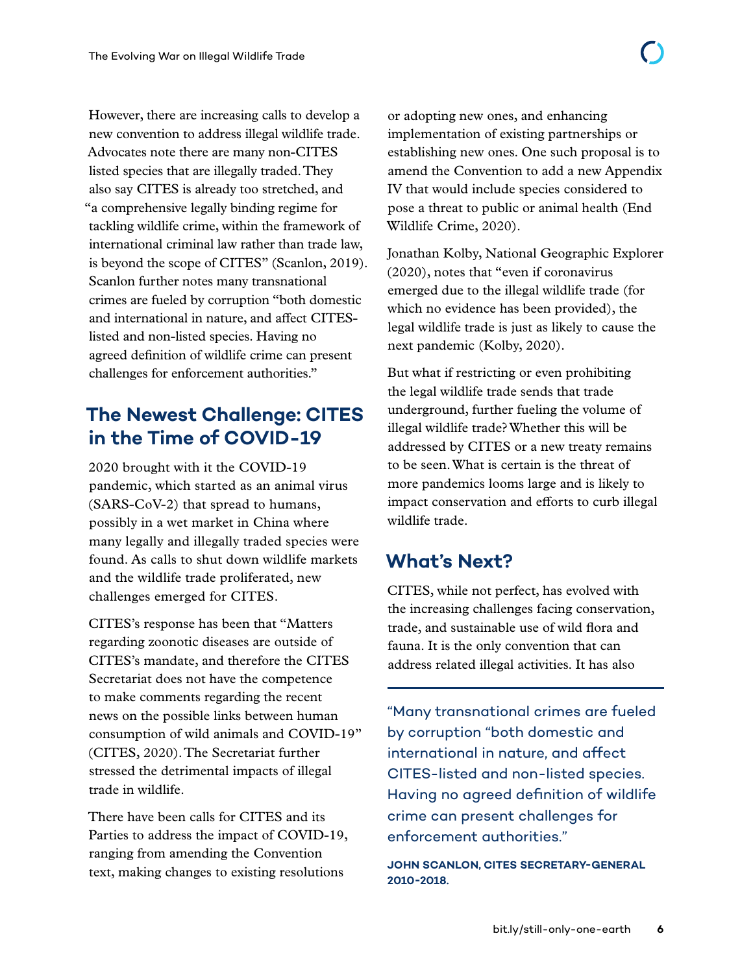However, there are increasing calls to develop a new convention to address illegal wildlife trade. Advocates note there are many non-CITES listed species that are illegally traded. They also say CITES is already too stretched, and "a comprehensive legally binding regime for tackling wildlife crime, within the framework of international criminal law rather than trade law, is beyond the scope of CITES" (Scanlon, 2019). Scanlon further notes many transnational crimes are fueled by corruption "both domestic and international in nature, and affect CITESlisted and non-listed species. Having no agreed definition of wildlife crime can present challenges for enforcement authorities."

# **The Newest Challenge: CITES in the Time of COVID-19**

2020 brought with it the COVID-19 pandemic, which started as an animal virus (SARS-CoV-2) that spread to humans, possibly in a wet market in China where many legally and illegally traded species were found. As calls to shut down wildlife markets and the wildlife trade proliferated, new challenges emerged for CITES.

CITES's response has been that "Matters regarding zoonotic diseases are outside of CITES's mandate, and therefore the CITES Secretariat does not have the competence to make comments regarding the recent news on the possible links between human consumption of wild animals and COVID-19" (CITES, 2020). The Secretariat further stressed the detrimental impacts of illegal trade in wildlife.

There have been calls for CITES and its Parties to address the impact of COVID-19, ranging from amending the Convention text, making changes to existing resolutions

or adopting new ones, and enhancing implementation of existing partnerships or establishing new ones. One such proposal is to amend the Convention to add a new Appendix IV that would include species considered to pose a threat to public or animal health (End Wildlife Crime, 2020).

Jonathan Kolby, National Geographic Explorer (2020), notes that "even if coronavirus emerged due to the illegal wildlife trade (for which no evidence has been provided), the legal wildlife trade is just as likely to cause the next pandemic (Kolby, 2020).

But what if restricting or even prohibiting the legal wildlife trade sends that trade underground, further fueling the volume of illegal wildlife trade? Whether this will be addressed by CITES or a new treaty remains to be seen. What is certain is the threat of more pandemics looms large and is likely to impact conservation and efforts to curb illegal wildlife trade.

## **What's Next?**

CITES, while not perfect, has evolved with the increasing challenges facing conservation, trade, and sustainable use of wild flora and fauna. It is the only convention that can address related illegal activities. It has also

"Many transnational crimes are fueled by corruption "both domestic and international in nature, and affect CITES-listed and non-listed species. Having no agreed definition of wildlife crime can present challenges for enforcement authorities."

**JOHN SCANLON, CITES SECRETARY-GENERAL 2010-2018.**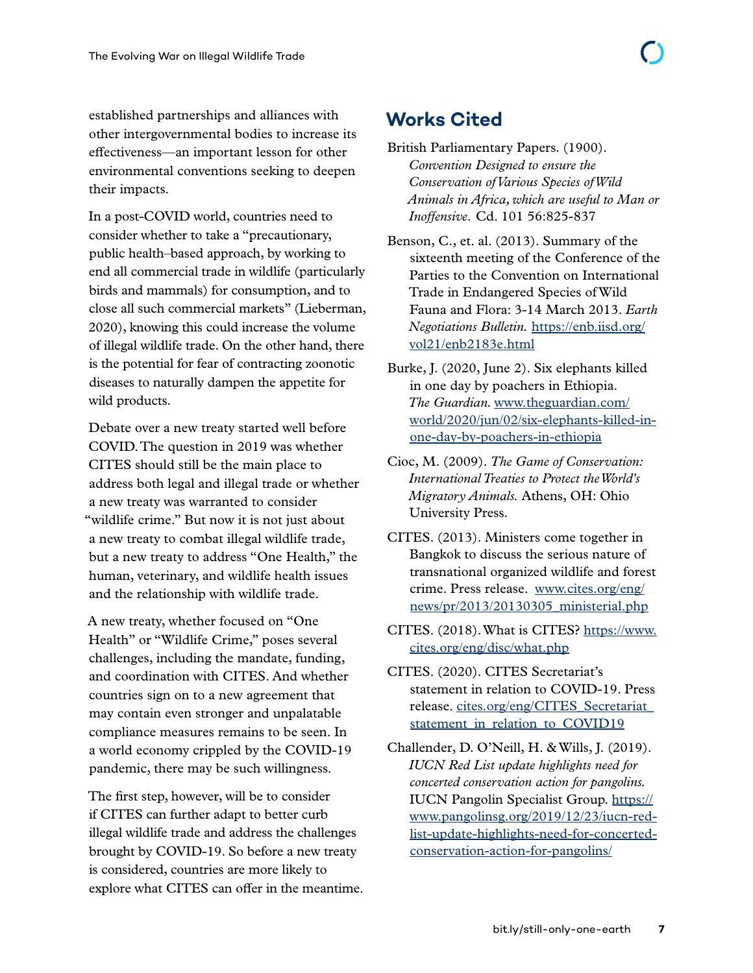established partnerships and alliances with other intergovernmental bodies to increase its effectiveness—an important lesson for other environmental conventions seeking to deepen their impacts.

In a post-COVID world, countries need to consider whether to take a "precautionary, public health–based approach, by working to end all commercial trade in wildlife (particularly birds and mammals) for consumption, and to close all such commercial markets" (Lieberman, 2020), knowing this could increase the volume of illegal wildlife trade. On the other hand, there is the potential for fear of contracting zoonotic diseases to naturally dampen the appetite for wild products.

Debate over a new treaty started well before COVID. The question in 2019 was whether CITES should still be the main place to address both legal and illegal trade or whether a new treaty was warranted to consider "wildlife crime." But now it is not just about a new treaty to combat illegal wildlife trade, but a new treaty to address "One Health," the human, veterinary, and wildlife health issues and the relationship with wildlife trade.

A new treaty, whether focused on "One Health" or "Wildlife Crime," poses several challenges, including the mandate, funding, and coordination with CITES. And whether countries sign on to a new agreement that may contain even stronger and unpalatable compliance measures remains to be seen. In a world economy crippled by the COVID-19 pandemic, there may be such willingness.

The first step, however, will be to consider if CITES can further adapt to better curb illegal wildlife trade and address the challenges brought by COVID-19. So before a new treaty is considered, countries are more likely to explore what CITES can offer in the meantime.

# **Works Cited**

- British Parliamentary Papers. (1900). *Convention Designed to ensure the Conservation of Various Species of Wild Animals in Africa, which are useful to Man or Inoffensive.* Cd. 101 56:825-837
- Benson, C., et. al. (2013). Summary of the sixteenth meeting of the Conference of the Parties to the Convention on International Trade in Endangered Species of Wild Fauna and Flora: 3-14 March 2013. *Earth Negotiations Bulletin.* [https://enb.iisd.org/](https://enb.iisd.org/vol21/enb2183e.html) [vol21/enb2183e.html](https://enb.iisd.org/vol21/enb2183e.html)
- Burke, J. (2020, June 2). Six elephants killed in one day by poachers in Ethiopia. *The Guardian.* [www.theguardian.com/](http://www.theguardian.com/world/2020/jun/02/six-elephants-killed-in-one-day-by-poachers-in-ethiopia) [world/2020/jun/02/six-elephants-killed-in](http://www.theguardian.com/world/2020/jun/02/six-elephants-killed-in-one-day-by-poachers-in-ethiopia)[one-day-by-poachers-in-ethiopia](http://www.theguardian.com/world/2020/jun/02/six-elephants-killed-in-one-day-by-poachers-in-ethiopia)
- Cioc, M. (2009). *The Game of Conservation: International Treaties to Protect the World's Migratory Animals.* Athens, OH: Ohio University Press.
- CITES. (2013). Ministers come together in Bangkok to discuss the serious nature of transnational organized wildlife and forest crime. Press release. [www.cites.org/eng/](http://www.cites.org/eng/news/pr/2013/20130305_ministerial.php) [news/pr/2013/20130305\\_ministerial.php](http://www.cites.org/eng/news/pr/2013/20130305_ministerial.php)
- CITES. (2018). What is CITES? [https://www.](https://www.cites.org/eng/disc/what.php) [cites.org/eng/disc/what.php](https://www.cites.org/eng/disc/what.php)
- CITES. (2020). CITES Secretariat's statement in relation to COVID-19. Press release. [cites.org/eng/CITES\\_Secretariat\\_](http://cites.org/eng/CITES_Secretariat_statement_in_relation_to_COVID19) [statement\\_in\\_relation\\_to\\_COVID19](http://cites.org/eng/CITES_Secretariat_statement_in_relation_to_COVID19)
- Challender, D. O'Neill, H. & Wills, J. (2019). *IUCN Red List update highlights need for concerted conservation action for pangolins.* IUCN Pangolin Specialist Group. [https://](https://www.pangolinsg.org/2019/12/23/iucn-red-list-update-highlights-need-for-concerted-conservation-action-for-pangolins/) [www.pangolinsg.org/2019/12/23/iucn-red](https://www.pangolinsg.org/2019/12/23/iucn-red-list-update-highlights-need-for-concerted-conservation-action-for-pangolins/)[list-update-highlights-need-for-concerted](https://www.pangolinsg.org/2019/12/23/iucn-red-list-update-highlights-need-for-concerted-conservation-action-for-pangolins/)[conservation-action-for-pangolins/](https://www.pangolinsg.org/2019/12/23/iucn-red-list-update-highlights-need-for-concerted-conservation-action-for-pangolins/)